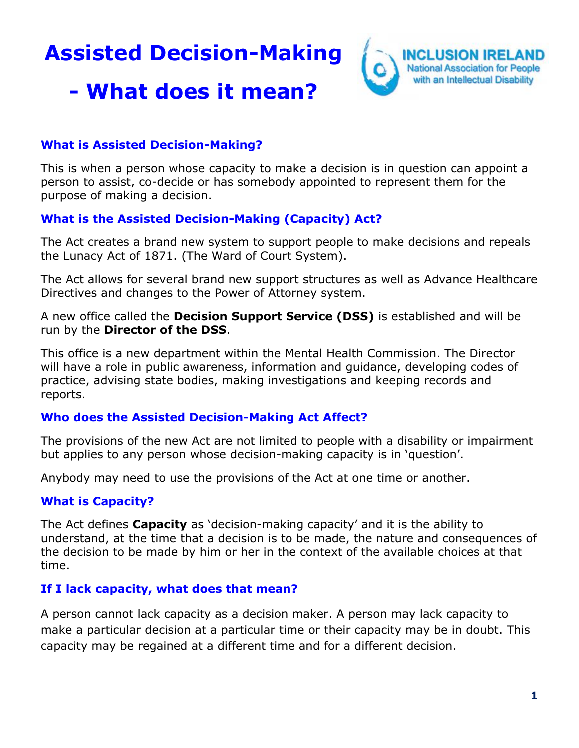**Assisted Decision-Making**



# **- What does it mean?**

## **What is Assisted Decision-Making?**

This is when a person whose capacity to make a decision is in question can appoint a person to assist, co-decide or has somebody appointed to represent them for the purpose of making a decision.

## **What is the Assisted Decision-Making (Capacity) Act?**

The Act creates a brand new system to support people to make decisions and repeals the Lunacy Act of 1871. (The Ward of Court System).

The Act allows for several brand new support structures as well as Advance Healthcare Directives and changes to the Power of Attorney system.

A new office called the **Decision Support Service (DSS)** is established and will be run by the **Director of the DSS**.

This office is a new department within the Mental Health Commission. The Director will have a role in public awareness, information and guidance, developing codes of practice, advising state bodies, making investigations and keeping records and reports.

## **Who does the Assisted Decision-Making Act Affect?**

The provisions of the new Act are not limited to people with a disability or impairment but applies to any person whose decision-making capacity is in 'question'.

Anybody may need to use the provisions of the Act at one time or another.

## **What is Capacity?**

The Act defines **Capacity** as 'decision-making capacity' and it is the ability to understand, at the time that a decision is to be made, the nature and consequences of the decision to be made by him or her in the context of the available choices at that time.

## **If I lack capacity, what does that mean?**

A person cannot lack capacity as a decision maker. A person may lack capacity to make a particular decision at a particular time or their capacity may be in doubt. This capacity may be regained at a different time and for a different decision.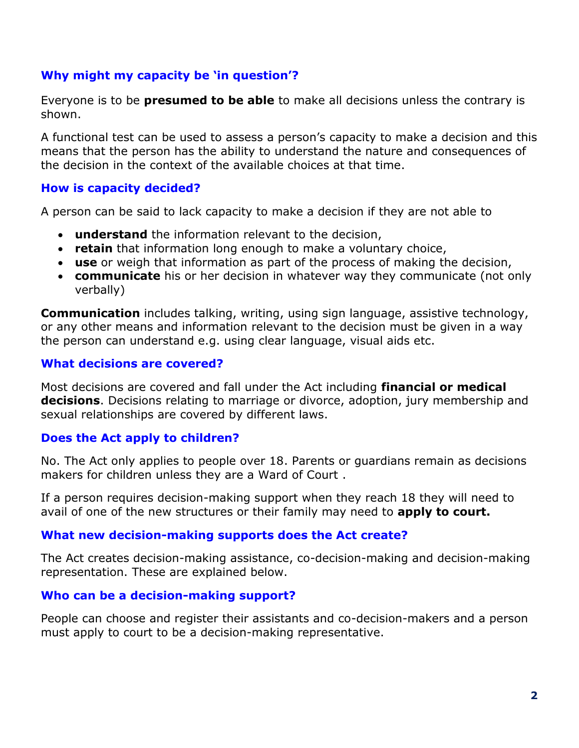## **Why might my capacity be 'in question'?**

Everyone is to be **presumed to be able** to make all decisions unless the contrary is shown.

A functional test can be used to assess a person's capacity to make a decision and this means that the person has the ability to understand the nature and consequences of the decision in the context of the available choices at that time.

#### **How is capacity decided?**

A person can be said to lack capacity to make a decision if they are not able to

- **understand** the information relevant to the decision,
- **retain** that information long enough to make a voluntary choice,
- **use** or weigh that information as part of the process of making the decision,
- **communicate** his or her decision in whatever way they communicate (not only verbally)

**Communication** includes talking, writing, using sign language, assistive technology, or any other means and information relevant to the decision must be given in a way the person can understand e.g. using clear language, visual aids etc.

#### **What decisions are covered?**

Most decisions are covered and fall under the Act including **financial or medical decisions**. Decisions relating to marriage or divorce, adoption, jury membership and sexual relationships are covered by different laws.

## **Does the Act apply to children?**

No. The Act only applies to people over 18. Parents or guardians remain as decisions makers for children unless they are a Ward of Court .

If a person requires decision-making support when they reach 18 they will need to avail of one of the new structures or their family may need to **apply to court.**

#### **What new decision-making supports does the Act create?**

The Act creates decision-making assistance, co-decision-making and decision-making representation. These are explained below.

#### **Who can be a decision-making support?**

People can choose and register their assistants and co-decision-makers and a person must apply to court to be a decision-making representative.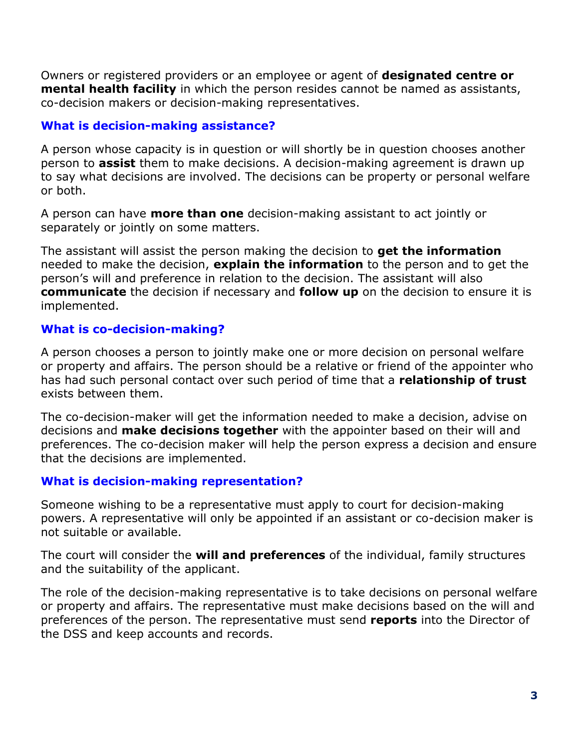Owners or registered providers or an employee or agent of **designated centre or mental health facility** in which the person resides cannot be named as assistants, co-decision makers or decision-making representatives.

## **What is decision-making assistance?**

A person whose capacity is in question or will shortly be in question chooses another person to **assist** them to make decisions. A decision-making agreement is drawn up to say what decisions are involved. The decisions can be property or personal welfare or both.

A person can have **more than one** decision-making assistant to act jointly or separately or jointly on some matters.

The assistant will assist the person making the decision to **get the information** needed to make the decision, **explain the information** to the person and to get the person's will and preference in relation to the decision. The assistant will also **communicate** the decision if necessary and **follow up** on the decision to ensure it is implemented.

## **What is co-decision-making?**

A person chooses a person to jointly make one or more decision on personal welfare or property and affairs. The person should be a relative or friend of the appointer who has had such personal contact over such period of time that a **relationship of trust** exists between them.

The co-decision-maker will get the information needed to make a decision, advise on decisions and **make decisions together** with the appointer based on their will and preferences. The co-decision maker will help the person express a decision and ensure that the decisions are implemented.

#### **What is decision-making representation?**

Someone wishing to be a representative must apply to court for decision-making powers. A representative will only be appointed if an assistant or co-decision maker is not suitable or available.

The court will consider the **will and preferences** of the individual, family structures and the suitability of the applicant.

The role of the decision-making representative is to take decisions on personal welfare or property and affairs. The representative must make decisions based on the will and preferences of the person. The representative must send **reports** into the Director of the DSS and keep accounts and records.